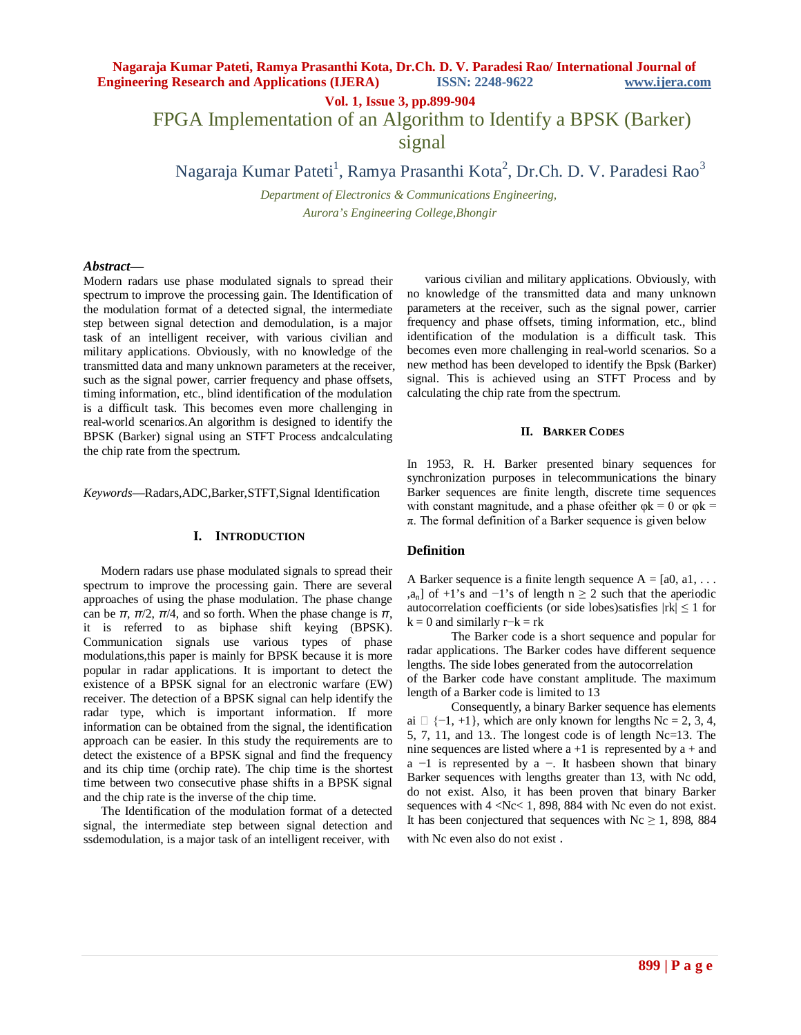**Vol. 1, Issue 3, pp.899-904**

FPGA Implementation of an Algorithm to Identify a BPSK (Barker)

signal

Nagaraja Kumar Pateti<sup>1</sup>, Ramya Prasanthi Kota<sup>2</sup>, Dr.Ch. D. V. Paradesi Rao<sup>3</sup>

*Department of Electronics & Communications Engineering, Aurora's Engineering College,Bhongir* 

## *Abstract*—

Modern radars use phase modulated signals to spread their spectrum to improve the processing gain. The Identification of the modulation format of a detected signal, the intermediate step between signal detection and demodulation, is a major task of an intelligent receiver, with various civilian and military applications. Obviously, with no knowledge of the transmitted data and many unknown parameters at the receiver, such as the signal power, carrier frequency and phase offsets, timing information, etc., blind identification of the modulation is a difficult task. This becomes even more challenging in real-world scenarios.An algorithm is designed to identify the BPSK (Barker) signal using an STFT Process andcalculating the chip rate from the spectrum.

*Keywords*—Radars,ADC,Barker,STFT,Signal Identification

#### **I. INTRODUCTION**

Modern radars use phase modulated signals to spread their spectrum to improve the processing gain. There are several approaches of using the phase modulation. The phase change can be  $\pi$ ,  $\pi/2$ ,  $\pi/4$ , and so forth. When the phase change is  $\pi$ , it is referred to as biphase shift keying (BPSK). Communication signals use various types of phase modulations,this paper is mainly for BPSK because it is more popular in radar applications. It is important to detect the existence of a BPSK signal for an electronic warfare (EW) receiver. The detection of a BPSK signal can help identify the radar type, which is important information. If more information can be obtained from the signal, the identification approach can be easier. In this study the requirements are to detect the existence of a BPSK signal and find the frequency and its chip time (orchip rate). The chip time is the shortest time between two consecutive phase shifts in a BPSK signal and the chip rate is the inverse of the chip time.

The Identification of the modulation format of a detected signal, the intermediate step between signal detection and ssdemodulation, is a major task of an intelligent receiver, with

various civilian and military applications. Obviously, with no knowledge of the transmitted data and many unknown parameters at the receiver, such as the signal power, carrier frequency and phase offsets, timing information, etc., blind identification of the modulation is a difficult task. This becomes even more challenging in real-world scenarios. So a new method has been developed to identify the Bpsk (Barker) signal. This is achieved using an STFT Process and by calculating the chip rate from the spectrum.

#### **II. BARKER CODES**

In 1953, R. H. Barker presented binary sequences for synchronization purposes in telecommunications the binary Barker sequences are finite length, discrete time sequences with constant magnitude, and a phase of either  $\varphi$ k = 0 or  $\varphi$ k =  $\pi$ . The formal definition of a Barker sequence is given below

#### **Definition**

A Barker sequence is a finite length sequence  $A = [a0, a1, \ldots]$ ,a<sub>n</sub>] of +1's and −1's of length  $n \ge 2$  such that the aperiodic autocorrelation coefficients (or side lobes)satisfies  $|rk| \leq 1$  for  $k = 0$  and similarly r−k = rk

The Barker code is a short sequence and popular for radar applications. The Barker codes have different sequence lengths. The side lobes generated from the autocorrelation

of the Barker code have constant amplitude. The maximum length of a Barker code is limited to 13

Consequently, a binary Barker sequence has elements ai  $\Box$  {−1, +1}, which are only known for lengths Nc = 2, 3, 4, 5, 7, 11, and 13.. The longest code is of length Nc=13. The nine sequences are listed where  $a + 1$  is represented by  $a +$  and  $a -1$  is represented by  $a -1$ . It has been shown that binary Barker sequences with lengths greater than 13, with Nc odd, do not exist. Also, it has been proven that binary Barker sequences with 4 <Nc< 1, 898, 884 with Nc even do not exist. It has been conjectured that sequences with  $Nc \ge 1$ , 898, 884 with Nc even also do not exist .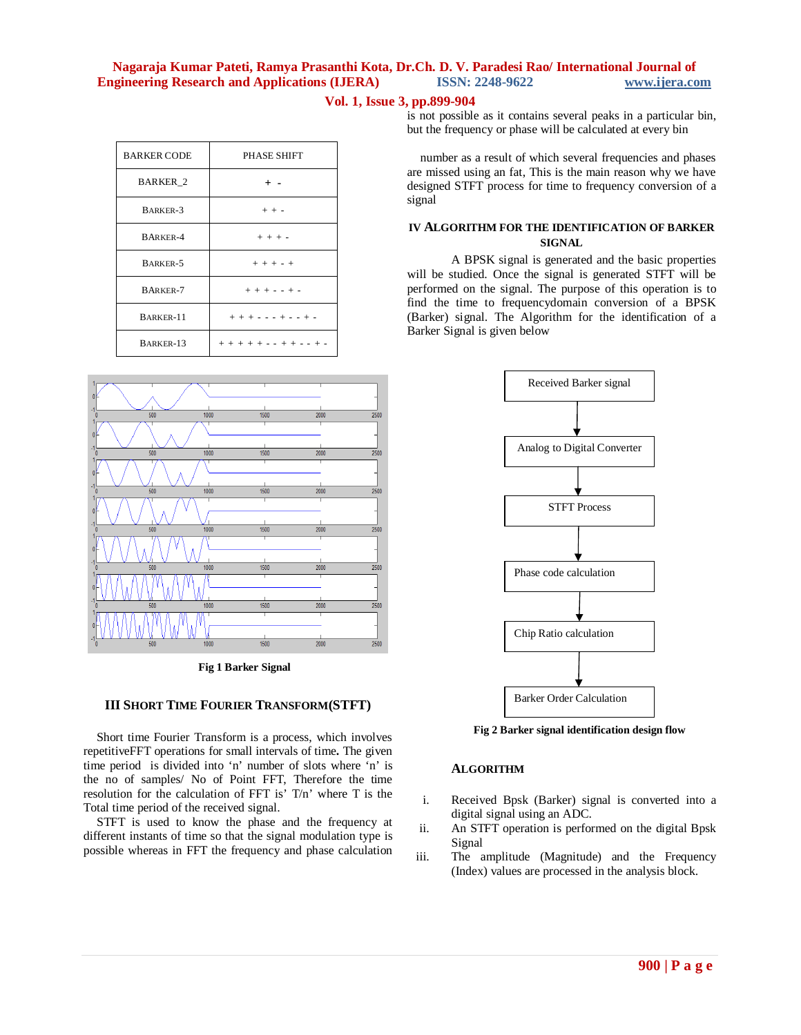# **Vol. 1, Issue 3, pp.899-904**

| <b>BARKER CODE</b> | PHASE SHIFT                 |
|--------------------|-----------------------------|
| <b>BARKER 2</b>    |                             |
| BARKER-3           | $+ + -$                     |
| <b>BARKER-4</b>    | $+ + + -$                   |
| BARKER-5           | $+ + + - +$                 |
| <b>BARKER-7</b>    | $+ + + - - + -$             |
| BARKER-11          | $+ + + - - + + - + + -$     |
| BARKER-13          | $+ + + + + - + + + - + + -$ |



**Fig 1 Barker Signal**

## **III SHORT TIME FOURIER TRANSFORM(STFT)**

Short time Fourier Transform is a process, which involves repetitiveFFT operations for small intervals of time**.** The given time period is divided into 'n' number of slots where 'n' is the no of samples/ No of Point FFT, Therefore the time resolution for the calculation of FFT is' T/n' where T is the Total time period of the received signal.

STFT is used to know the phase and the frequency at different instants of time so that the signal modulation type is possible whereas in FFT the frequency and phase calculation

is not possible as it contains several peaks in a particular bin, but the frequency or phase will be calculated at every bin

number as a result of which several frequencies and phases are missed using an fat, This is the main reason why we have designed STFT process for time to frequency conversion of a signal

## **IV ALGORITHM FOR THE IDENTIFICATION OF BARKER SIGNAL**

A BPSK signal is generated and the basic properties will be studied. Once the signal is generated STFT will be performed on the signal. The purpose of this operation is to find the time to frequencydomain conversion of a BPSK (Barker) signal. The Algorithm for the identification of a Barker Signal is given below



**Fig 2 Barker signal identification design flow**

## **ALGORITHM**

- i. Received Bpsk (Barker) signal is converted into a digital signal using an ADC.
- ii. An STFT operation is performed on the digital Bpsk Signal
- iii. The amplitude (Magnitude) and the Frequency (Index) values are processed in the analysis block.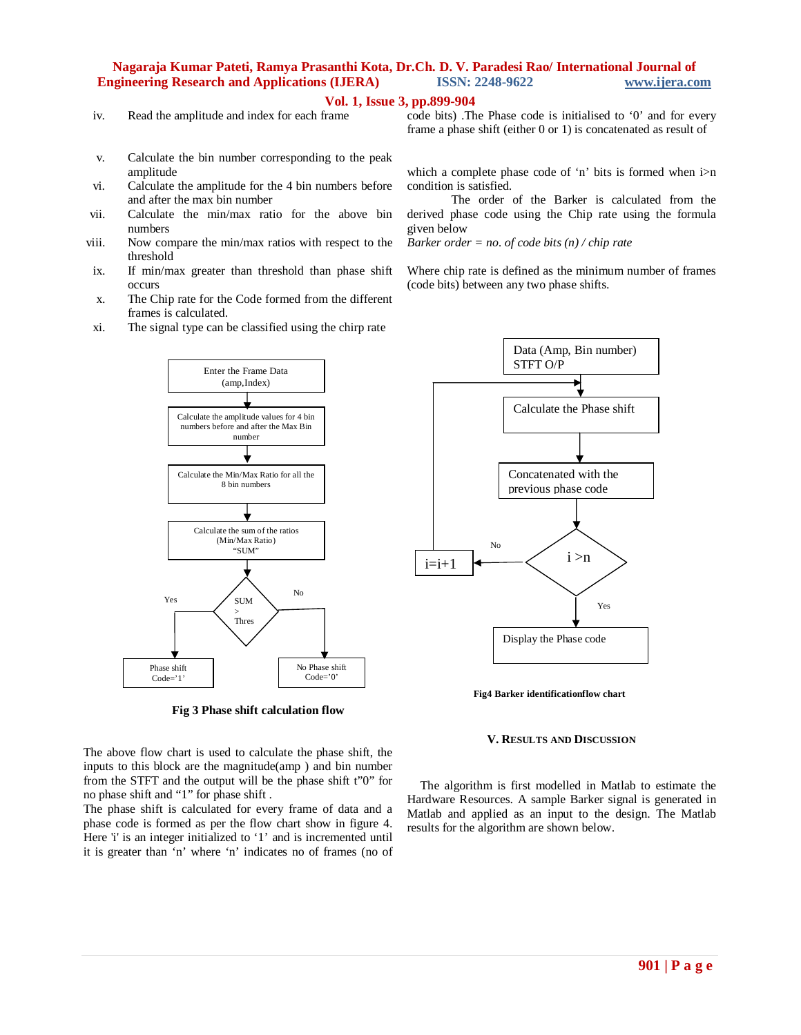#### **Vol. 1, Issue 3, pp.899-904**

iv. Read the amplitude and index for each frame

code bits) .The Phase code is initialised to '0' and for every frame a phase shift (either 0 or 1) is concatenated as result of

- v. Calculate the bin number corresponding to the peak amplitude
- vi. Calculate the amplitude for the 4 bin numbers before and after the max bin number
- vii. Calculate the min/max ratio for the above bin numbers
- viii. Now compare the min/max ratios with respect to the threshold
- ix. If min/max greater than threshold than phase shift occurs
- x. The Chip rate for the Code formed from the different frames is calculated.
- xi. The signal type can be classified using the chirp rate

which a complete phase code of 'n' bits is formed when i>n condition is satisfied.

The order of the Barker is calculated from the derived phase code using the Chip rate using the formula given below

*Barker order = no. of code bits (n) / chip rate*

Where chip rate is defined as the minimum number of frames (code bits) between any two phase shifts.



**Fig 3 Phase shift calculation flow**

The above flow chart is used to calculate the phase shift, the inputs to this block are the magnitude(amp ) and bin number from the STFT and the output will be the phase shift t"0" for no phase shift and "1" for phase shift .

The phase shift is calculated for every frame of data and a phase code is formed as per the flow chart show in figure 4. Here 'i' is an integer initialized to '1' and is incremented until it is greater than 'n' where 'n' indicates no of frames (no of



**Fig4 Barker identificationflow chart**

#### **V. RESULTS AND DISCUSSION**

The algorithm is first modelled in Matlab to estimate the Hardware Resources. A sample Barker signal is generated in Matlab and applied as an input to the design. The Matlab results for the algorithm are shown below.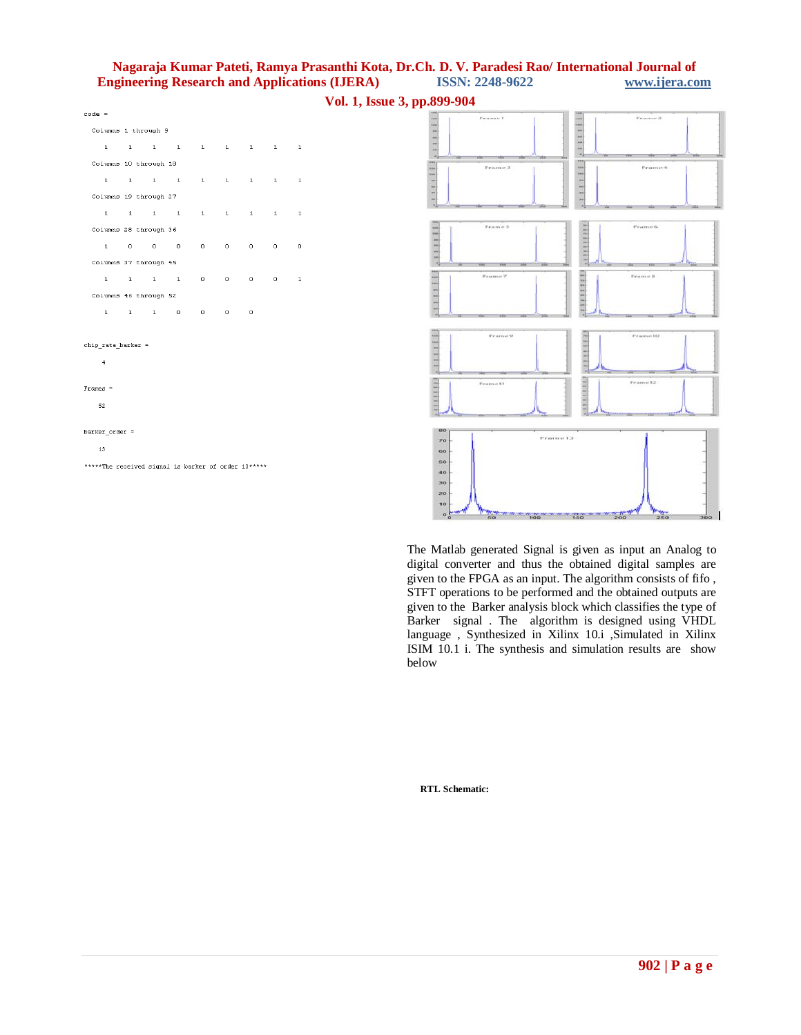**Vol. 1, Issue 3, pp.899-904**

| $code =$           |                                                             |              |          |                       |                     |         |  |
|--------------------|-------------------------------------------------------------|--------------|----------|-----------------------|---------------------|---------|--|
|                    | Columns 1 through 9                                         |              |          |                       |                     |         |  |
| $\mathbf{1}$       | $1 \quad 1 \quad 1 \quad 1 \quad 1 \quad 1 \quad 1 \quad 1$ |              |          |                       |                     |         |  |
|                    | Columns 10 through 18                                       |              |          |                       |                     |         |  |
| $\mathbf{1}$       | 1 1 1                                                       | $1 \quad 1$  |          | $1 - 1$               | $1 \quad 1$         |         |  |
|                    | Columns 19 through 27                                       |              |          |                       |                     |         |  |
| $\mathbf{1}$       | $1 \quad 1 \quad 1$                                         | $1 \quad 1$  |          |                       | $1 \quad 1 \quad 1$ |         |  |
|                    | Columns 28 through 36                                       |              |          |                       |                     |         |  |
| $\mathbf 1$        |                                                             | $\mathbf{O}$ | $\Omega$ | $\alpha$ and $\alpha$ | $\mathbf{0}$        | $\circ$ |  |
|                    | Columns 37 through 45                                       |              |          |                       |                     |         |  |
|                    | $1 \quad 1 \quad 1 \quad 1$                                 | $\mathbf{0}$ | $\circ$  | $0 \qquad \qquad$     | $0 \quad 1$         |         |  |
|                    | Columns 46 through 52                                       |              |          |                       |                     |         |  |
|                    | $1 \quad 1 \quad 1 \quad 0$                                 | $\mathbf{O}$ | $\Omega$ | $\Omega$              |                     |         |  |
|                    |                                                             |              |          |                       |                     |         |  |
| chip rate barker = |                                                             |              |          |                       |                     |         |  |

 $\ddot{ }$ 

 $barker\_order =$ 

\*\*\*\*\*The received signal is barker of order 13\*\*\*\*\*

 $\overline{13}$ 

Frames = 52

Frame 2 Frame I  $-1111111$  $111111111$ 11111111  $1111111$ Frame 3 Frances 33111111 ........... Frame 5 Frame 6  $11111111$ 1999999999  $-111111111$  $1.111111111$ Frame 10 111111111 111111111  $m = 12$ Frame 13  $\overline{r}$  $\overline{60}$ 60  $\overline{46}$ 30 20

The Matlab generated Signal is given as input an Analog to digital converter and thus the obtained digital samples are given to the FPGA as an input. The algorithm consists of fifo , STFT operations to be performed and the obtained outputs are given to the Barker analysis block which classifies the type of Barker signal . The algorithm is designed using VHDL language , Synthesized in Xilinx 10.i ,Simulated in Xilinx ISIM 10.1 i. The synthesis and simulation results are show below

 $-350$ 

**RTL Schematic:**

 $\overline{\mathbf{1}}$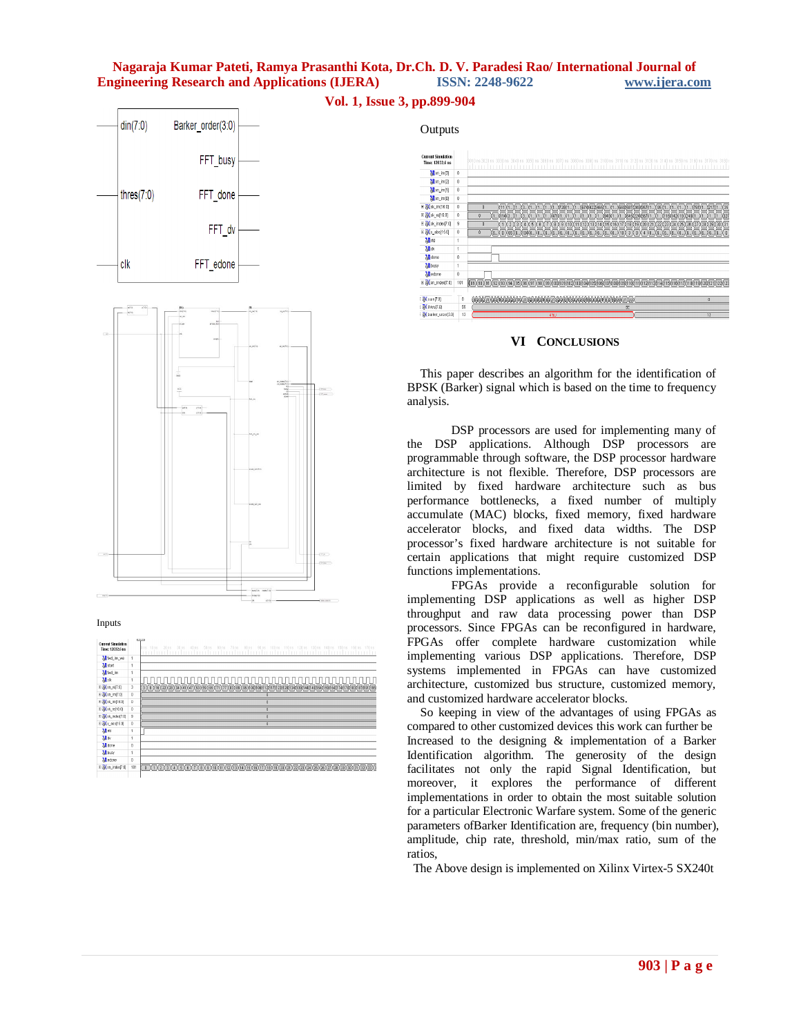





#### Inputs

| <b>Current Simulation</b><br>Time: 12032.6 ns |     | post the<br>110 ns 120 ns 130 ns 140 ns 150 ns 160 ns 170 ns<br>ns 10ns<br>20ns<br>30 ns<br>40 ns<br>50 ns<br>90 ns<br>100 ns<br><b>Bfl</b> ne<br>70 ns<br>90 <sub>10</sub><br><b>TELESTI</b><br>111<br>1.1.1.1                                                                                                                                  |
|-----------------------------------------------|-----|--------------------------------------------------------------------------------------------------------------------------------------------------------------------------------------------------------------------------------------------------------------------------------------------------------------------------------------------------|
| Mi fwd_inv_we                                 |     |                                                                                                                                                                                                                                                                                                                                                  |
| <b>all</b> start                              |     |                                                                                                                                                                                                                                                                                                                                                  |
| <b>M</b> fwd_inc                              |     |                                                                                                                                                                                                                                                                                                                                                  |
| Mak                                           |     |                                                                                                                                                                                                                                                                                                                                                  |
| 田 20 m_re[7:0]                                | 3   | $\overline{1}$ ( $\overline{1}$ ( $\overline{1}$ )( $\overline{2}$ )( $\overline{1}$ )( $\overline{1}$ )( $\overline{1}$ )( $\overline{1}$ )( $\overline{2}$ )( $\overline{3}$ )( $\overline{3}$ )( $\overline{1}$ )( $\overline{1}$ )( $\overline{1}$ )( $\overline{1}$ )( $\overline{1}$ )( $\overline{1}$ )( $\overline{1}$ )( $\overline{1}$ |
| 日 20m_im[7:0]                                 | 0   |                                                                                                                                                                                                                                                                                                                                                  |
| ⊞ 2 (x) m [16:0]                              | ø   |                                                                                                                                                                                                                                                                                                                                                  |
| ⊞ 2 xk_re(16:0)                               | 0   |                                                                                                                                                                                                                                                                                                                                                  |
| El 20 xk_index(7:0)                           | ġ   |                                                                                                                                                                                                                                                                                                                                                  |
| 日 2 x_abs[15.0]                               | ŏ   | ñ                                                                                                                                                                                                                                                                                                                                                |
| <b>M</b> nd                                   |     |                                                                                                                                                                                                                                                                                                                                                  |
| Mo                                            |     |                                                                                                                                                                                                                                                                                                                                                  |
| <b>M</b> done                                 | Θ   |                                                                                                                                                                                                                                                                                                                                                  |
| <b>M</b> busy                                 | 1   |                                                                                                                                                                                                                                                                                                                                                  |
| <b>M</b> edone                                | û   |                                                                                                                                                                                                                                                                                                                                                  |
| E am index[7.0]                               | 101 |                                                                                                                                                                                                                                                                                                                                                  |



## **VI CONCLUSIONS**

This paper describes an algorithm for the identification of BPSK (Barker) signal which is based on the time to frequency analysis.

DSP processors are used for implementing many of the DSP applications. Although DSP processors are programmable through software, the DSP processor hardware architecture is not flexible. Therefore, DSP processors are limited by fixed hardware architecture such as bus performance bottlenecks, a fixed number of multiply accumulate (MAC) blocks, fixed memory, fixed hardware accelerator blocks, and fixed data widths. The DSP processor's fixed hardware architecture is not suitable for certain applications that might require customized DSP functions implementations.

FPGAs provide a reconfigurable solution for implementing DSP applications as well as higher DSP throughput and raw data processing power than DSP processors. Since FPGAs can be reconfigured in hardware, FPGAs offer complete hardware customization while implementing various DSP applications. Therefore, DSP systems implemented in FPGAs can have customized architecture, customized bus structure, customized memory, and customized hardware accelerator blocks.

So keeping in view of the advantages of using FPGAs as compared to other customized devices this work can further be Increased to the designing & implementation of a Barker Identification algorithm. The generosity of the design facilitates not only the rapid Signal Identification, but moreover, it explores the performance of different implementations in order to obtain the most suitable solution for a particular Electronic Warfare system. Some of the generic parameters ofBarker Identification are, frequency (bin number), amplitude, chip rate, threshold, min/max ratio, sum of the ratios,

The Above design is implemented on Xilinx Virtex-5 SX240t